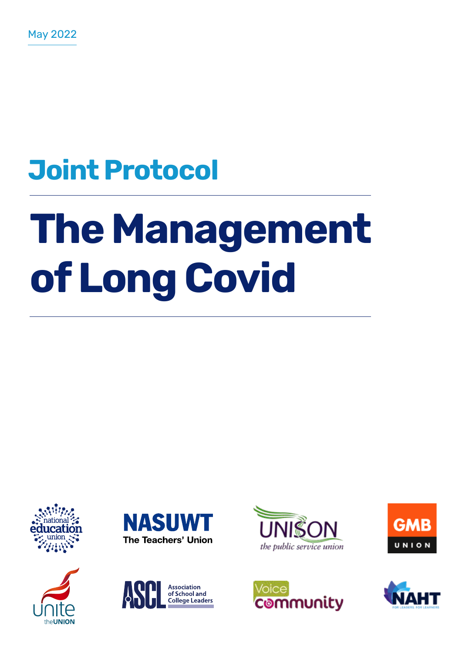## **Joint Protocol**

# **The Management of Long Covid**















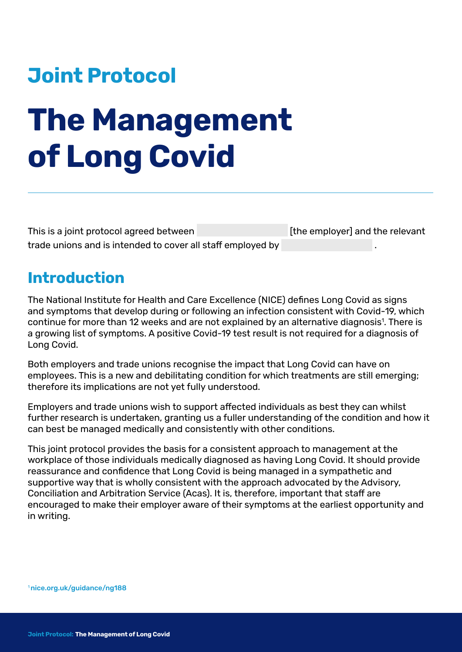### **Joint Protocol**

## **The Management of Long Covid**

This is a joint protocol agreed between [the employer] and the relevant trade unions and is intended to cover all staff employed by .

#### **Introduction**

The National Institute for Health and Care Excellence (NICE) defines Long Covid as signs and symptoms that develop during or following an infection consistent with Covid-19, which continue for more than 12 weeks and are not explained by an alternative diagnosis<sup>1</sup>. There is a growing list of symptoms. A positive Covid-19 test result is not required for a diagnosis of Long Covid.

Both employers and trade unions recognise the impact that Long Covid can have on employees. This is a new and debilitating condition for which treatments are still emerging; therefore its implications are not yet fully understood.

Employers and trade unions wish to support affected individuals as best they can whilst further research is undertaken, granting us a fuller understanding of the condition and how it can best be managed medically and consistently with other conditions.

This joint protocol provides the basis for a consistent approach to management at the workplace of those individuals medically diagnosed as having Long Covid. It should provide reassurance and confidence that Long Covid is being managed in a sympathetic and supportive way that is wholly consistent with the approach advocated by the Advisory, Conciliation and Arbitration Service (Acas). It is, therefore, important that staff are encouraged to make their employer aware of their symptoms at the earliest opportunity and in writing.

1 [nice.org.uk/guidance/ng188](https://www.nice.org.uk/guidance/ng188)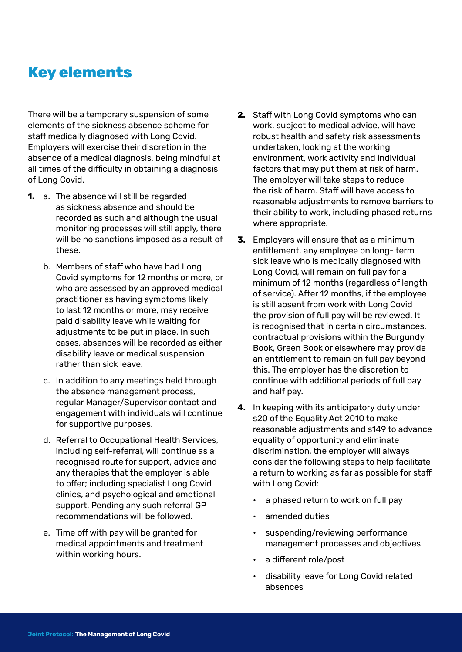#### **Key elements**

There will be a temporary suspension of some elements of the sickness absence scheme for staff medically diagnosed with Long Covid. Employers will exercise their discretion in the absence of a medical diagnosis, being mindful at all times of the difficulty in obtaining a diagnosis of Long Covid.

- **1.** a. The absence will still be regarded as sickness absence and should be recorded as such and although the usual monitoring processes will still apply, there will be no sanctions imposed as a result of these.
	- b. Members of staff who have had Long Covid symptoms for 12 months or more, or who are assessed by an approved medical practitioner as having symptoms likely to last 12 months or more, may receive paid disability leave while waiting for adjustments to be put in place. In such cases, absences will be recorded as either disability leave or medical suspension rather than sick leave.
	- c. In addition to any meetings held through the absence management process, regular Manager/Supervisor contact and engagement with individuals will continue for supportive purposes.
	- d. Referral to Occupational Health Services, including self-referral, will continue as a recognised route for support, advice and any therapies that the employer is able to offer; including specialist Long Covid clinics, and psychological and emotional support. Pending any such referral GP recommendations will be followed.
	- e. Time off with pay will be granted for medical appointments and treatment within working hours.
- **2.** Staff with Long Covid symptoms who can work, subject to medical advice, will have robust health and safety risk assessments undertaken, looking at the working environment, work activity and individual factors that may put them at risk of harm. The employer will take steps to reduce the risk of harm. Staff will have access to reasonable adjustments to remove barriers to their ability to work, including phased returns where appropriate.
- **3.** Employers will ensure that as a minimum entitlement, any employee on long- term sick leave who is medically diagnosed with Long Covid, will remain on full pay for a minimum of 12 months (regardless of length of service). After 12 months, if the employee is still absent from work with Long Covid the provision of full pay will be reviewed. It is recognised that in certain circumstances, contractual provisions within the Burgundy Book, Green Book or elsewhere may provide an entitlement to remain on full pay beyond this. The employer has the discretion to continue with additional periods of full pay and half pay.
- **4.** In keeping with its anticipatory duty under s20 of the Equality Act 2010 to make reasonable adjustments and s149 to advance equality of opportunity and eliminate discrimination, the employer will always consider the following steps to help facilitate a return to working as far as possible for staff with Long Covid:
	- a phased return to work on full pay
	- amended duties
	- suspending/reviewing performance management processes and objectives
	- a different role/post
	- disability leave for Long Covid related absences